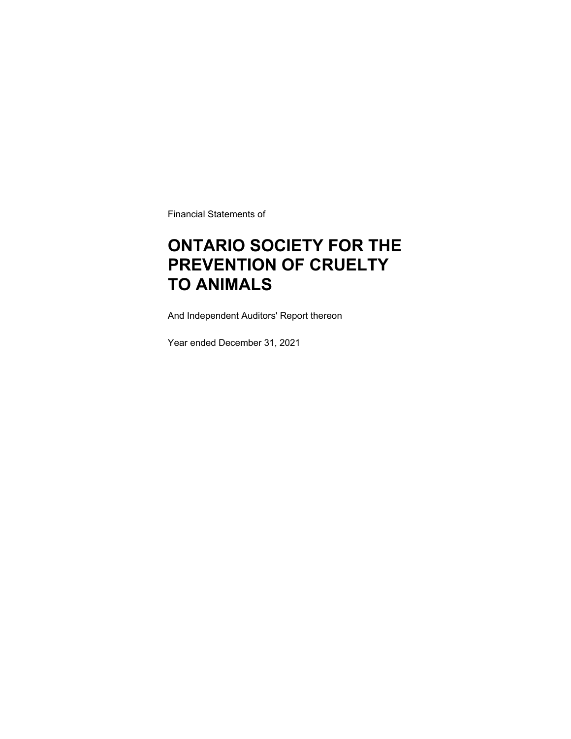Financial Statements of

### **ONTARIO SOCIETY FOR THE PREVENTION OF CRUELTY TO ANIMALS**

And Independent Auditors' Report thereon

Year ended December 31, 2021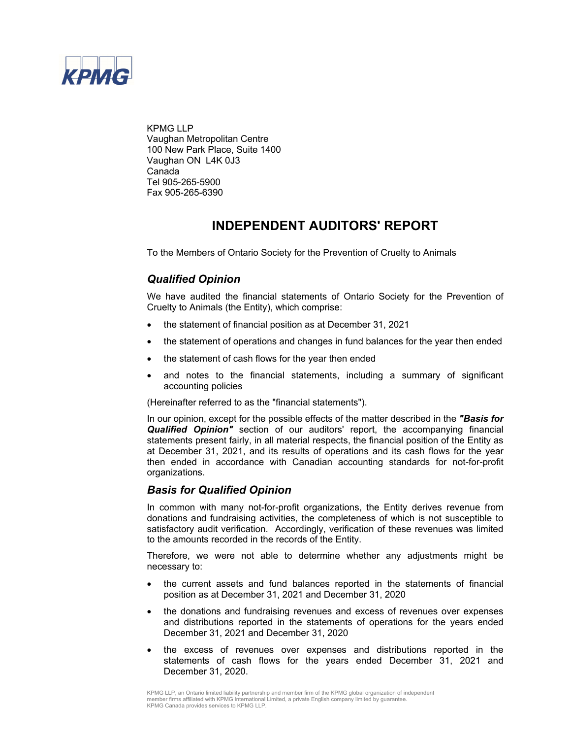

KPMG LLP Vaughan Metropolitan Centre 100 New Park Place, Suite 1400 Vaughan ON L4K 0J3 Canada Tel 905-265-5900 Fax 905-265-6390

### **INDEPENDENT AUDITORS' REPORT**

To the Members of Ontario Society for the Prevention of Cruelty to Animals

### *Qualified Opinion*

We have audited the financial statements of Ontario Society for the Prevention of Cruelty to Animals (the Entity), which comprise:

- the statement of financial position as at December 31, 2021
- the statement of operations and changes in fund balances for the year then ended
- the statement of cash flows for the year then ended
- and notes to the financial statements, including a summary of significant accounting policies

(Hereinafter referred to as the "financial statements").

In our opinion, except for the possible effects of the matter described in the *"Basis for Qualified Opinion"* section of our auditors' report, the accompanying financial statements present fairly, in all material respects, the financial position of the Entity as at December 31, 2021, and its results of operations and its cash flows for the year then ended in accordance with Canadian accounting standards for not-for-profit organizations.

### *Basis for Qualified Opinion*

In common with many not-for-profit organizations, the Entity derives revenue from donations and fundraising activities, the completeness of which is not susceptible to satisfactory audit verification. Accordingly, verification of these revenues was limited to the amounts recorded in the records of the Entity.

Therefore, we were not able to determine whether any adjustments might be necessary to:

- the current assets and fund balances reported in the statements of financial position as at December 31, 2021 and December 31, 2020
- the donations and fundraising revenues and excess of revenues over expenses and distributions reported in the statements of operations for the years ended December 31, 2021 and December 31, 2020
- the excess of revenues over expenses and distributions reported in the statements of cash flows for the years ended December 31, 2021 and December 31, 2020.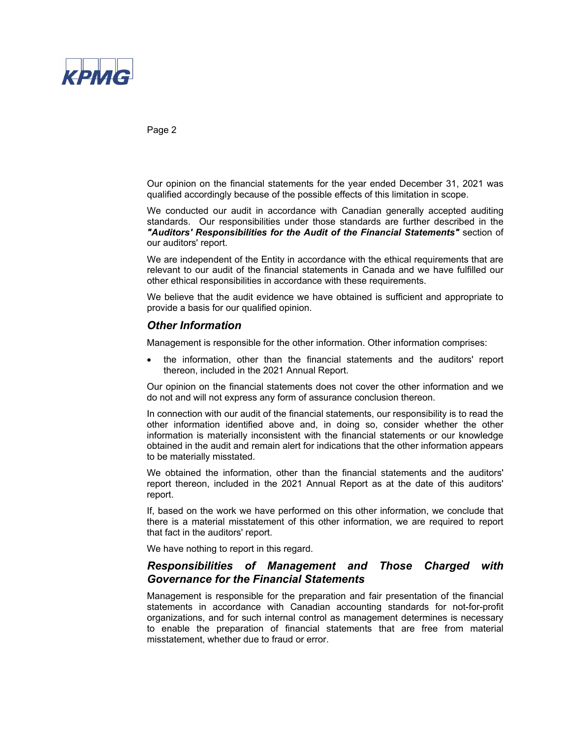

Page 2

Our opinion on the financial statements for the year ended December 31, 2021 was qualified accordingly because of the possible effects of this limitation in scope.

We conducted our audit in accordance with Canadian generally accepted auditing standards. Our responsibilities under those standards are further described in the *"Auditors' Responsibilities for the Audit of the Financial Statements"* section of our auditors' report.

We are independent of the Entity in accordance with the ethical requirements that are relevant to our audit of the financial statements in Canada and we have fulfilled our other ethical responsibilities in accordance with these requirements.

We believe that the audit evidence we have obtained is sufficient and appropriate to provide a basis for our qualified opinion.

### *Other Information*

Management is responsible for the other information. Other information comprises:

 the information, other than the financial statements and the auditors' report thereon, included in the 2021 Annual Report.

Our opinion on the financial statements does not cover the other information and we do not and will not express any form of assurance conclusion thereon.

In connection with our audit of the financial statements, our responsibility is to read the other information identified above and, in doing so, consider whether the other information is materially inconsistent with the financial statements or our knowledge obtained in the audit and remain alert for indications that the other information appears to be materially misstated.

We obtained the information, other than the financial statements and the auditors' report thereon, included in the 2021 Annual Report as at the date of this auditors' report.

If, based on the work we have performed on this other information, we conclude that there is a material misstatement of this other information, we are required to report that fact in the auditors' report.

We have nothing to report in this regard.

### *Responsibilities of Management and Those Charged with Governance for the Financial Statements*

Management is responsible for the preparation and fair presentation of the financial statements in accordance with Canadian accounting standards for not-for-profit organizations, and for such internal control as management determines is necessary to enable the preparation of financial statements that are free from material misstatement, whether due to fraud or error.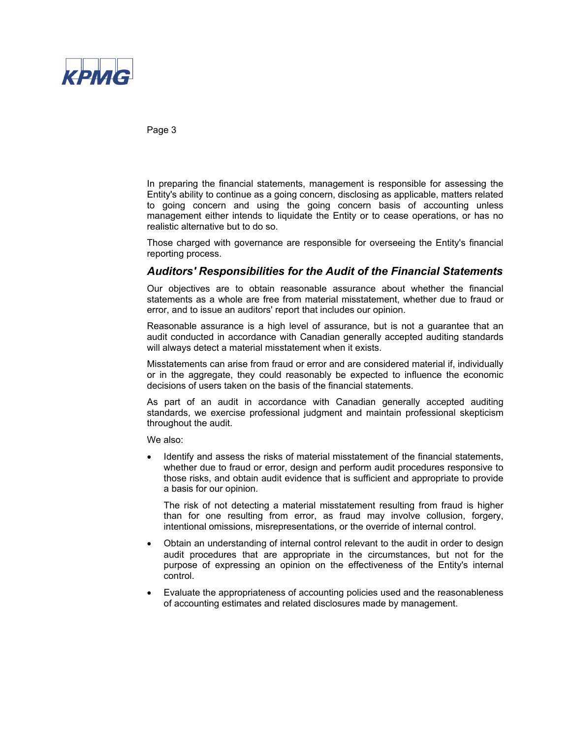

Page 3

In preparing the financial statements, management is responsible for assessing the Entity's ability to continue as a going concern, disclosing as applicable, matters related to going concern and using the going concern basis of accounting unless management either intends to liquidate the Entity or to cease operations, or has no realistic alternative but to do so.

Those charged with governance are responsible for overseeing the Entity's financial reporting process.

### *Auditors' Responsibilities for the Audit of the Financial Statements*

Our objectives are to obtain reasonable assurance about whether the financial statements as a whole are free from material misstatement, whether due to fraud or error, and to issue an auditors' report that includes our opinion.

Reasonable assurance is a high level of assurance, but is not a guarantee that an audit conducted in accordance with Canadian generally accepted auditing standards will always detect a material misstatement when it exists.

Misstatements can arise from fraud or error and are considered material if, individually or in the aggregate, they could reasonably be expected to influence the economic decisions of users taken on the basis of the financial statements.

As part of an audit in accordance with Canadian generally accepted auditing standards, we exercise professional judgment and maintain professional skepticism throughout the audit.

We also:

 Identify and assess the risks of material misstatement of the financial statements, whether due to fraud or error, design and perform audit procedures responsive to those risks, and obtain audit evidence that is sufficient and appropriate to provide a basis for our opinion.

The risk of not detecting a material misstatement resulting from fraud is higher than for one resulting from error, as fraud may involve collusion, forgery, intentional omissions, misrepresentations, or the override of internal control.

- Obtain an understanding of internal control relevant to the audit in order to design audit procedures that are appropriate in the circumstances, but not for the purpose of expressing an opinion on the effectiveness of the Entity's internal control.
- Evaluate the appropriateness of accounting policies used and the reasonableness of accounting estimates and related disclosures made by management.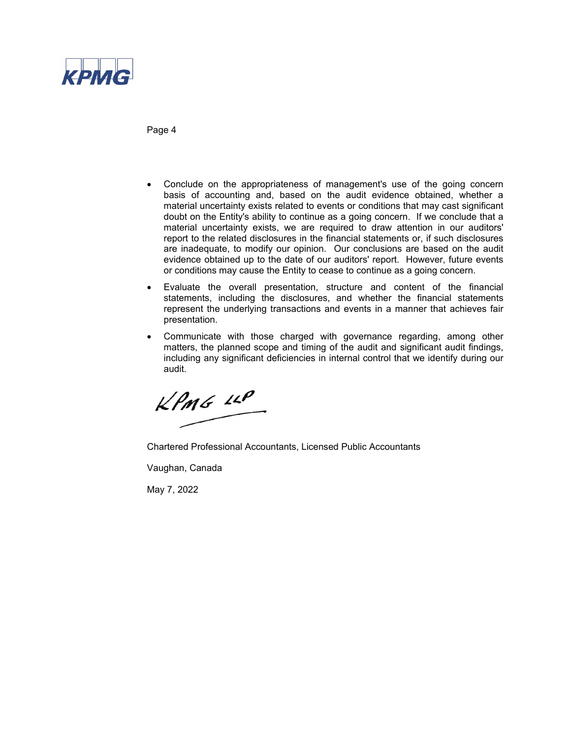

Page 4

- Conclude on the appropriateness of management's use of the going concern basis of accounting and, based on the audit evidence obtained, whether a material uncertainty exists related to events or conditions that may cast significant doubt on the Entity's ability to continue as a going concern. If we conclude that a material uncertainty exists, we are required to draw attention in our auditors' report to the related disclosures in the financial statements or, if such disclosures are inadequate, to modify our opinion. Our conclusions are based on the audit evidence obtained up to the date of our auditors' report. However, future events or conditions may cause the Entity to cease to continue as a going concern.
- Evaluate the overall presentation, structure and content of the financial statements, including the disclosures, and whether the financial statements represent the underlying transactions and events in a manner that achieves fair presentation.
- Communicate with those charged with governance regarding, among other matters, the planned scope and timing of the audit and significant audit findings, including any significant deficiencies in internal control that we identify during our audit.

 $KPMG$  14P

Chartered Professional Accountants, Licensed Public Accountants

Vaughan, Canada

May 7, 2022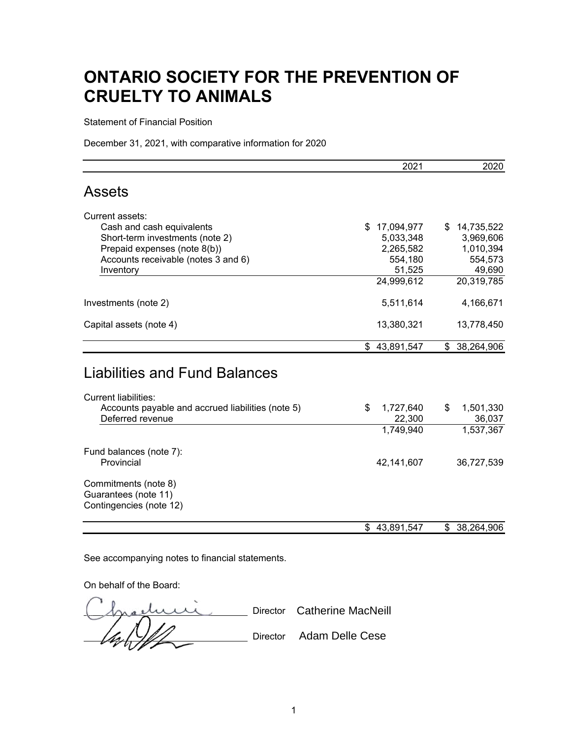Statement of Financial Position

December 31, 2021, with comparative information for 2020

|                                                                       | 2021                      | 2020                      |
|-----------------------------------------------------------------------|---------------------------|---------------------------|
| <b>Assets</b>                                                         |                           |                           |
| Current assets:                                                       |                           |                           |
| Cash and cash equivalents                                             | 17,094,977<br>\$          | 14,735,522<br>\$          |
| Short-term investments (note 2)                                       | 5,033,348                 | 3,969,606                 |
| Prepaid expenses (note 8(b))                                          | 2,265,582                 | 1,010,394                 |
| Accounts receivable (notes 3 and 6)                                   | 554,180                   | 554,573                   |
| Inventory                                                             | 51,525                    | 49,690                    |
|                                                                       | 24,999,612                | 20,319,785                |
| Investments (note 2)                                                  | 5,511,614                 | 4,166,671                 |
| Capital assets (note 4)                                               | 13,380,321                | 13,778,450                |
|                                                                       | \$43,891,547              | \$ 38,264,906             |
| <b>Liabilities and Fund Balances</b>                                  |                           |                           |
| <b>Current liabilities:</b>                                           |                           |                           |
| Accounts payable and accrued liabilities (note 5)<br>Deferred revenue | \$<br>1,727,640<br>22,300 | \$<br>1,501,330<br>36,037 |
|                                                                       | 1,749,940                 | 1,537,367                 |
| Fund balances (note 7):                                               |                           |                           |
| Provincial                                                            | 42,141,607                | 36,727,539                |
| Commitments (note 8)                                                  |                           |                           |
| Guarantees (note 11)                                                  |                           |                           |
| Contingencies (note 12)                                               |                           |                           |
|                                                                       | \$43,891,547              | \$<br>38,264,906          |

See accompanying notes to financial statements.

On behalf of the Board:

( <u>Inacture</u> Director Catherine MacNeill (As / V/// Director Adam Delle Cese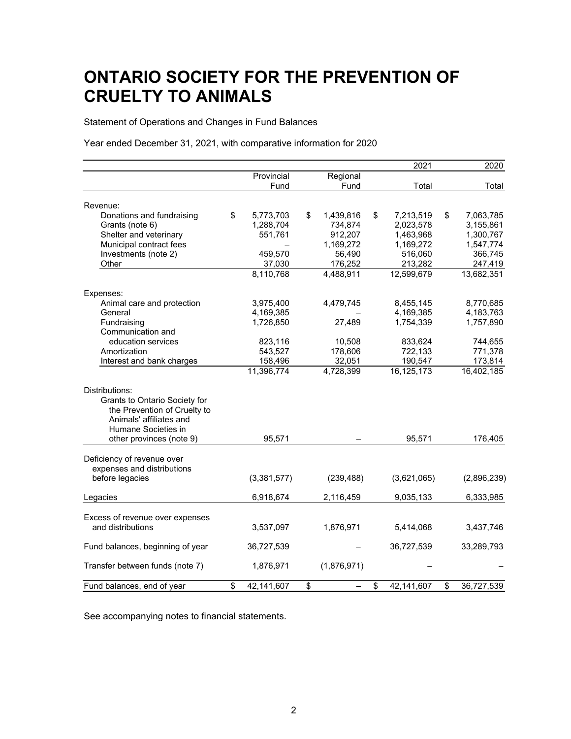Statement of Operations and Changes in Fund Balances

Year ended December 31, 2021, with comparative information for 2020

|                                  |                  |                 | 2021             | 2020             |
|----------------------------------|------------------|-----------------|------------------|------------------|
|                                  | Provincial       | Regional        |                  |                  |
|                                  | Fund             | Fund            | Total            | Total            |
| Revenue:                         |                  |                 |                  |                  |
| Donations and fundraising        | \$<br>5,773,703  | \$<br>1,439,816 | \$<br>7,213,519  | \$<br>7,063,785  |
| Grants (note 6)                  | 1,288,704        | 734,874         | 2,023,578        | 3,155,861        |
| Shelter and veterinary           | 551,761          | 912,207         | 1,463,968        | 1,300,767        |
| Municipal contract fees          |                  | 1,169,272       | 1,169,272        | 1,547,774        |
| Investments (note 2)             | 459,570          | 56,490          | 516,060          | 366,745          |
| Other                            | 37,030           | 176,252         | 213,282          | 247,419          |
|                                  | 8,110,768        | 4,488,911       | 12,599,679       | 13,682,351       |
|                                  |                  |                 |                  |                  |
| Expenses:                        |                  |                 |                  |                  |
| Animal care and protection       | 3,975,400        | 4,479,745       | 8,455,145        | 8,770,685        |
| General                          | 4,169,385        |                 | 4,169,385        | 4,183,763        |
| Fundraising                      | 1,726,850        | 27,489          | 1,754,339        | 1,757,890        |
| Communication and                |                  |                 |                  |                  |
| education services               | 823,116          | 10,508          | 833,624          | 744,655          |
| Amortization                     | 543,527          | 178,606         | 722,133          | 771,378          |
| Interest and bank charges        | 158,496          | 32,051          | 190,547          | 173,814          |
|                                  | 11,396,774       | 4,728,399       | 16,125,173       | 16,402,185       |
| Distributions:                   |                  |                 |                  |                  |
| Grants to Ontario Society for    |                  |                 |                  |                  |
| the Prevention of Cruelty to     |                  |                 |                  |                  |
| Animals' affiliates and          |                  |                 |                  |                  |
| Humane Societies in              |                  |                 |                  |                  |
| other provinces (note 9)         | 95,571           |                 | 95,571           | 176,405          |
|                                  |                  |                 |                  |                  |
| Deficiency of revenue over       |                  |                 |                  |                  |
| expenses and distributions       |                  |                 |                  |                  |
| before legacies                  | (3,381,577)      | (239, 488)      | (3,621,065)      | (2,896,239)      |
| Legacies                         | 6,918,674        | 2,116,459       | 9,035,133        | 6,333,985        |
|                                  |                  |                 |                  |                  |
| Excess of revenue over expenses  |                  |                 |                  |                  |
| and distributions                | 3,537,097        | 1,876,971       | 5,414,068        | 3,437,746        |
| Fund balances, beginning of year | 36,727,539       |                 | 36,727,539       | 33,289,793       |
|                                  |                  |                 |                  |                  |
| Transfer between funds (note 7)  | 1,876,971        | (1,876,971)     |                  |                  |
| Fund balances, end of year       | \$<br>42,141,607 | \$              | \$<br>42,141,607 | \$<br>36,727,539 |

See accompanying notes to financial statements.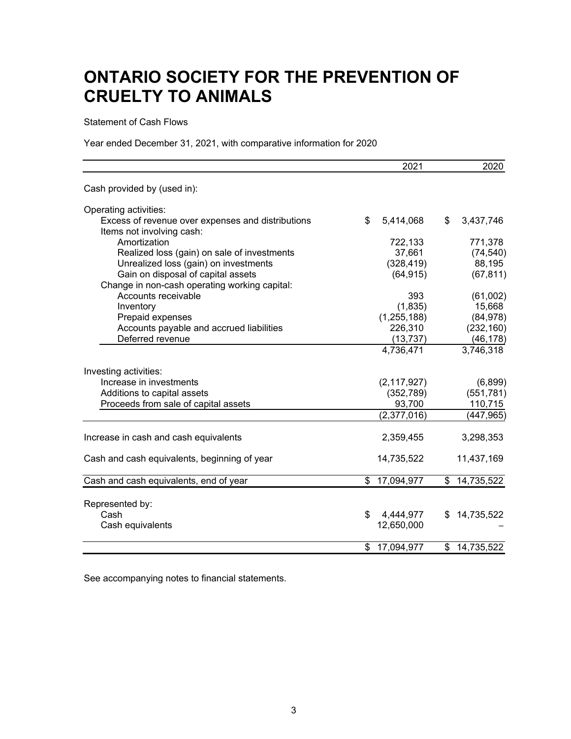Statement of Cash Flows

Year ended December 31, 2021, with comparative information for 2020

|                                                                                | 2021            | 2020             |
|--------------------------------------------------------------------------------|-----------------|------------------|
| Cash provided by (used in):                                                    |                 |                  |
| Operating activities:                                                          |                 |                  |
| Excess of revenue over expenses and distributions<br>Items not involving cash: | \$<br>5,414,068 | \$<br>3,437,746  |
| Amortization                                                                   | 722,133         | 771,378          |
| Realized loss (gain) on sale of investments                                    | 37,661          | (74, 540)        |
| Unrealized loss (gain) on investments                                          | (328, 419)      | 88,195           |
| Gain on disposal of capital assets                                             | (64, 915)       | (67, 811)        |
| Change in non-cash operating working capital:                                  |                 |                  |
| Accounts receivable                                                            | 393             | (61,002)         |
| Inventory                                                                      | (1,835)         | 15,668           |
| Prepaid expenses                                                               | (1, 255, 188)   | (84, 978)        |
| Accounts payable and accrued liabilities                                       | 226,310         | (232, 160)       |
| Deferred revenue                                                               | (13, 737)       | (46, 178)        |
|                                                                                | 4,736,471       | 3,746,318        |
| Investing activities:                                                          |                 |                  |
| Increase in investments                                                        | (2, 117, 927)   | (6,899)          |
| Additions to capital assets                                                    | (352, 789)      | (551, 781)       |
| Proceeds from sale of capital assets                                           | 93,700          | 110,715          |
|                                                                                | (2, 377, 016)   | (447, 965)       |
| Increase in cash and cash equivalents                                          | 2,359,455       | 3,298,353        |
| Cash and cash equivalents, beginning of year                                   | 14,735,522      | 11,437,169       |
| Cash and cash equivalents, end of year                                         | \$17,094,977    | \$14,735,522     |
|                                                                                |                 |                  |
| Represented by:                                                                |                 |                  |
| Cash                                                                           | \$<br>4,444,977 | \$<br>14,735,522 |
| Cash equivalents                                                               | 12,650,000      |                  |
|                                                                                | \$17,094,977    | \$14,735,522     |

See accompanying notes to financial statements.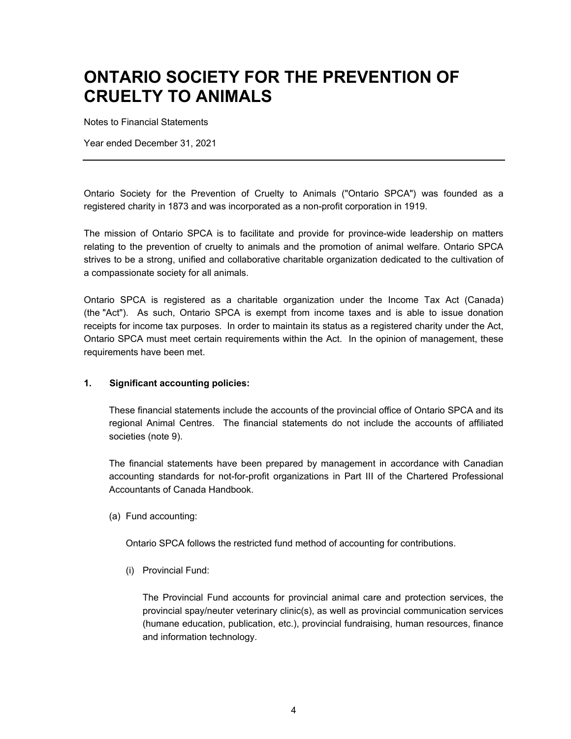Notes to Financial Statements

Year ended December 31, 2021

Ontario Society for the Prevention of Cruelty to Animals ("Ontario SPCA") was founded as a registered charity in 1873 and was incorporated as a non-profit corporation in 1919.

The mission of Ontario SPCA is to facilitate and provide for province-wide leadership on matters relating to the prevention of cruelty to animals and the promotion of animal welfare. Ontario SPCA strives to be a strong, unified and collaborative charitable organization dedicated to the cultivation of a compassionate society for all animals.

Ontario SPCA is registered as a charitable organization under the Income Tax Act (Canada) (the "Act"). As such, Ontario SPCA is exempt from income taxes and is able to issue donation receipts for income tax purposes. In order to maintain its status as a registered charity under the Act, Ontario SPCA must meet certain requirements within the Act. In the opinion of management, these requirements have been met.

### **1. Significant accounting policies:**

These financial statements include the accounts of the provincial office of Ontario SPCA and its regional Animal Centres. The financial statements do not include the accounts of affiliated societies (note 9).

The financial statements have been prepared by management in accordance with Canadian accounting standards for not-for-profit organizations in Part III of the Chartered Professional Accountants of Canada Handbook.

(a) Fund accounting:

Ontario SPCA follows the restricted fund method of accounting for contributions.

(i) Provincial Fund:

The Provincial Fund accounts for provincial animal care and protection services, the provincial spay/neuter veterinary clinic(s), as well as provincial communication services (humane education, publication, etc.), provincial fundraising, human resources, finance and information technology.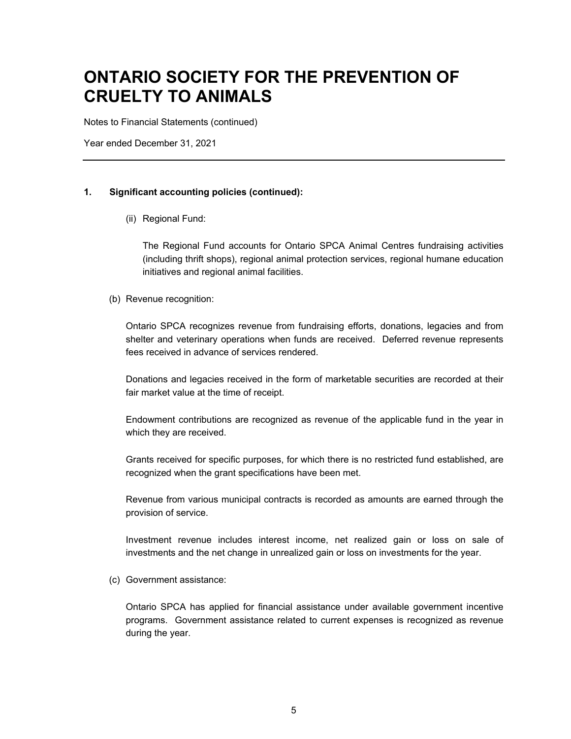Notes to Financial Statements (continued)

Year ended December 31, 2021

#### **1. Significant accounting policies (continued):**

(ii) Regional Fund:

The Regional Fund accounts for Ontario SPCA Animal Centres fundraising activities (including thrift shops), regional animal protection services, regional humane education initiatives and regional animal facilities.

(b) Revenue recognition:

Ontario SPCA recognizes revenue from fundraising efforts, donations, legacies and from shelter and veterinary operations when funds are received. Deferred revenue represents fees received in advance of services rendered.

Donations and legacies received in the form of marketable securities are recorded at their fair market value at the time of receipt.

Endowment contributions are recognized as revenue of the applicable fund in the year in which they are received.

Grants received for specific purposes, for which there is no restricted fund established, are recognized when the grant specifications have been met.

Revenue from various municipal contracts is recorded as amounts are earned through the provision of service.

Investment revenue includes interest income, net realized gain or loss on sale of investments and the net change in unrealized gain or loss on investments for the year.

(c) Government assistance:

Ontario SPCA has applied for financial assistance under available government incentive programs. Government assistance related to current expenses is recognized as revenue during the year.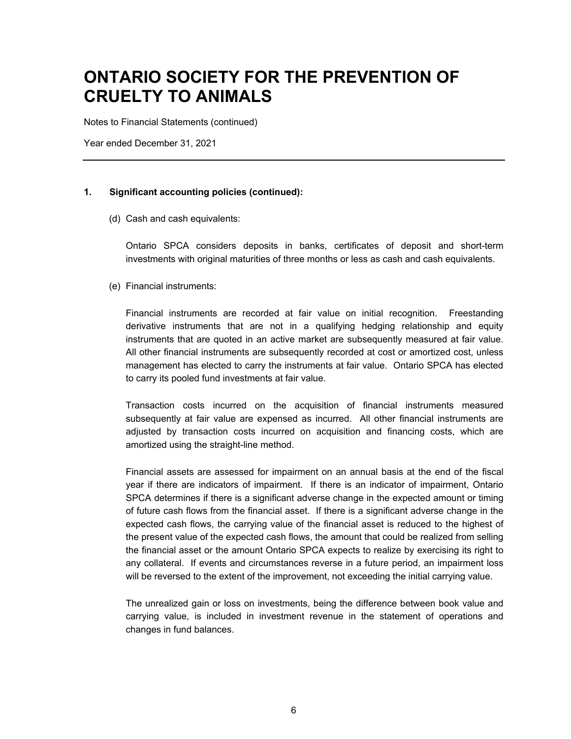Notes to Financial Statements (continued)

Year ended December 31, 2021

#### **1. Significant accounting policies (continued):**

(d) Cash and cash equivalents:

Ontario SPCA considers deposits in banks, certificates of deposit and short-term investments with original maturities of three months or less as cash and cash equivalents.

(e) Financial instruments:

Financial instruments are recorded at fair value on initial recognition. Freestanding derivative instruments that are not in a qualifying hedging relationship and equity instruments that are quoted in an active market are subsequently measured at fair value. All other financial instruments are subsequently recorded at cost or amortized cost, unless management has elected to carry the instruments at fair value. Ontario SPCA has elected to carry its pooled fund investments at fair value.

Transaction costs incurred on the acquisition of financial instruments measured subsequently at fair value are expensed as incurred. All other financial instruments are adjusted by transaction costs incurred on acquisition and financing costs, which are amortized using the straight-line method.

Financial assets are assessed for impairment on an annual basis at the end of the fiscal year if there are indicators of impairment. If there is an indicator of impairment, Ontario SPCA determines if there is a significant adverse change in the expected amount or timing of future cash flows from the financial asset. If there is a significant adverse change in the expected cash flows, the carrying value of the financial asset is reduced to the highest of the present value of the expected cash flows, the amount that could be realized from selling the financial asset or the amount Ontario SPCA expects to realize by exercising its right to any collateral. If events and circumstances reverse in a future period, an impairment loss will be reversed to the extent of the improvement, not exceeding the initial carrying value.

The unrealized gain or loss on investments, being the difference between book value and carrying value, is included in investment revenue in the statement of operations and changes in fund balances.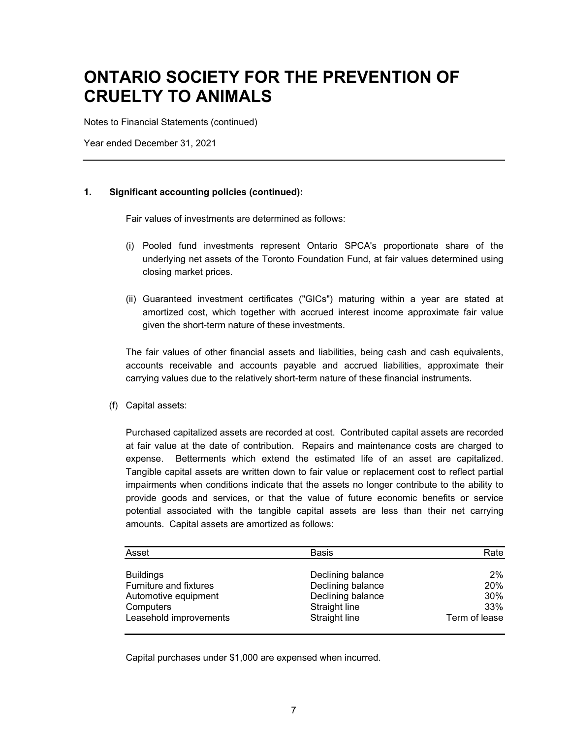Notes to Financial Statements (continued)

Year ended December 31, 2021

### **1. Significant accounting policies (continued):**

Fair values of investments are determined as follows:

- (i) Pooled fund investments represent Ontario SPCA's proportionate share of the underlying net assets of the Toronto Foundation Fund, at fair values determined using closing market prices.
- (ii) Guaranteed investment certificates ("GICs") maturing within a year are stated at amortized cost, which together with accrued interest income approximate fair value given the short-term nature of these investments.

The fair values of other financial assets and liabilities, being cash and cash equivalents, accounts receivable and accounts payable and accrued liabilities, approximate their carrying values due to the relatively short-term nature of these financial instruments.

(f) Capital assets:

Purchased capitalized assets are recorded at cost. Contributed capital assets are recorded at fair value at the date of contribution. Repairs and maintenance costs are charged to expense. Betterments which extend the estimated life of an asset are capitalized. Tangible capital assets are written down to fair value or replacement cost to reflect partial impairments when conditions indicate that the assets no longer contribute to the ability to provide goods and services, or that the value of future economic benefits or service potential associated with the tangible capital assets are less than their net carrying amounts. Capital assets are amortized as follows:

| Asset                  | <b>Basis</b>      | Rate          |
|------------------------|-------------------|---------------|
| <b>Buildings</b>       | Declining balance | 2%            |
| Furniture and fixtures | Declining balance | 20%           |
| Automotive equipment   | Declining balance | 30%           |
| Computers              | Straight line     | 33%           |
| Leasehold improvements | Straight line     | Term of lease |

Capital purchases under \$1,000 are expensed when incurred.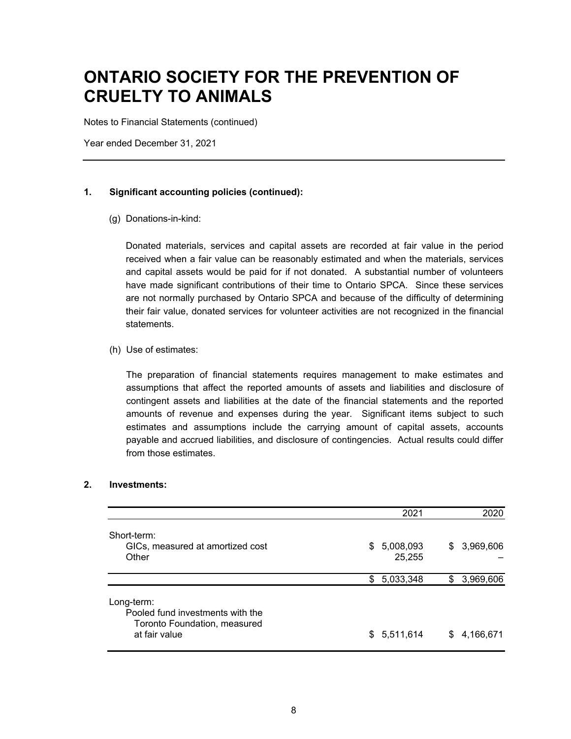Notes to Financial Statements (continued)

Year ended December 31, 2021

#### **1. Significant accounting policies (continued):**

(g) Donations-in-kind:

Donated materials, services and capital assets are recorded at fair value in the period received when a fair value can be reasonably estimated and when the materials, services and capital assets would be paid for if not donated. A substantial number of volunteers have made significant contributions of their time to Ontario SPCA. Since these services are not normally purchased by Ontario SPCA and because of the difficulty of determining their fair value, donated services for volunteer activities are not recognized in the financial statements.

(h) Use of estimates:

The preparation of financial statements requires management to make estimates and assumptions that affect the reported amounts of assets and liabilities and disclosure of contingent assets and liabilities at the date of the financial statements and the reported amounts of revenue and expenses during the year. Significant items subject to such estimates and assumptions include the carrying amount of capital assets, accounts payable and accrued liabilities, and disclosure of contingencies. Actual results could differ from those estimates.

### **2. Investments:**

|                                                                                                 |     | 2021                |    | 2020      |
|-------------------------------------------------------------------------------------------------|-----|---------------------|----|-----------|
| Short-term:<br>GICs, measured at amortized cost<br>Other                                        | \$  | 5,008,093<br>25,255 | \$ | 3,969,606 |
|                                                                                                 | \$. | 5,033,348           | \$ | 3,969,606 |
| Long-term:<br>Pooled fund investments with the<br>Toronto Foundation, measured<br>at fair value |     | \$5,511,614         | S  | 4,166,671 |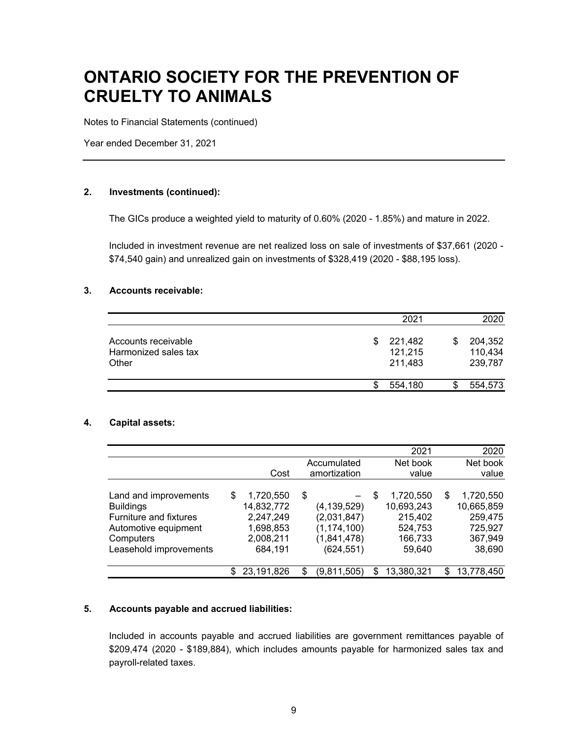Notes to Financial Statements (continued)

Year ended December 31, 2021

#### **2. Investments (continued):**

The GICs produce a weighted yield to maturity of 0.60% (2020 - 1.85%) and mature in 2022.

Included in investment revenue are net realized loss on sale of investments of \$37,661 (2020 - \$74,540 gain) and unrealized gain on investments of \$328,419 (2020 - \$88,195 loss).

#### **3. Accounts receivable:**

|                                                      |     | 2021                          | 2020                                |
|------------------------------------------------------|-----|-------------------------------|-------------------------------------|
| Accounts receivable<br>Harmonized sales tax<br>Other | \$. | 221,482<br>121,215<br>211,483 | \$<br>204,352<br>110,434<br>239,787 |
|                                                      | S   | 554,180                       | 554,573                             |

#### **4. Capital assets:**

|                               |   |            |               | 2021             | 2020             |
|-------------------------------|---|------------|---------------|------------------|------------------|
|                               |   |            | Accumulated   | Net book         | Net book         |
|                               |   | Cost       | amortization  | value            | value            |
|                               |   |            |               |                  |                  |
| Land and improvements         | S | 1,720,550  | \$            | \$<br>1,720,550  | \$<br>1,720,550  |
| <b>Buildings</b>              |   | 14,832,772 | (4, 139, 529) | 10,693,243       | 10,665,859       |
| <b>Furniture and fixtures</b> |   | 2,247,249  | (2,031,847)   | 215,402          | 259,475          |
| Automotive equipment          |   | 1,698,853  | (1, 174, 100) | 524,753          | 725,927          |
| Computers                     |   | 2,008,211  | (1,841,478)   | 166,733          | 367,949          |
| Leasehold improvements        |   | 684,191    | (624, 551)    | 59,640           | 38,690           |
|                               |   |            |               |                  |                  |
|                               | S | 23,191,826 | (9,811,505)   | \$<br>13,380,321 | \$<br>13,778,450 |

#### **5. Accounts payable and accrued liabilities:**

Included in accounts payable and accrued liabilities are government remittances payable of \$209,474 (2020 - \$189,884), which includes amounts payable for harmonized sales tax and payroll-related taxes.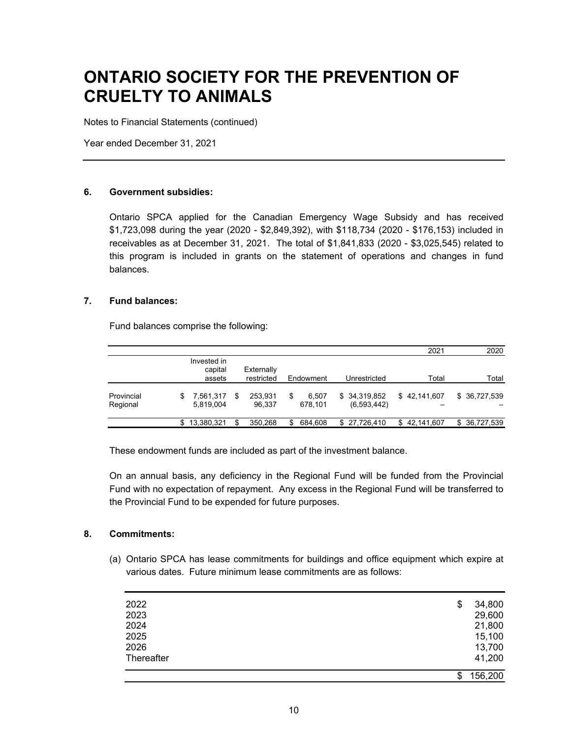Notes to Financial Statements (continued)

Year ended December 31, 2021

#### **6. Government subsidies:**

Ontario SPCA applied for the Canadian Emergency Wage Subsidy and has received \$1,723,098 during the year (2020 - \$2,849,392), with \$118,734 (2020 - \$176,153) included in receivables as at December 31, 2021. The total of \$1,841,833 (2020 - \$3,025,545) related to this program is included in grants on the statement of operations and changes in fund balances.

#### **7. Fund balances:**

Fund balances comprise the following:

|                        |                        |    |                   |   |                  |                             | 2021         | 2020          |
|------------------------|------------------------|----|-------------------|---|------------------|-----------------------------|--------------|---------------|
|                        | Invested in<br>capital |    | Externally        |   |                  |                             |              |               |
|                        | assets                 |    | restricted        |   | Endowment        | Unrestricted                | Total        | Total         |
| Provincial<br>Regional | .561,317<br>5,819,004  | S  | 253.931<br>96.337 | S | 6.507<br>678,101 | \$34,319,852<br>(6,593,442) | \$42.141.607 | \$ 36,727,539 |
|                        | 13,380,321             | \$ | 350,268           | S | 684.608          | \$ 27,726,410               | \$42,141,607 | \$ 36,727,539 |

These endowment funds are included as part of the investment balance.

On an annual basis, any deficiency in the Regional Fund will be funded from the Provincial Fund with no expectation of repayment. Any excess in the Regional Fund will be transferred to the Provincial Fund to be expended for future purposes.

### **8. Commitments:**

(a) Ontario SPCA has lease commitments for buildings and office equipment which expire at various dates. Future minimum lease commitments are as follows:

| 2022       | \$<br>34,800  |
|------------|---------------|
| 2023       | 29,600        |
| 2024       | 21,800        |
| 2025       | 15,100        |
| 2026       | 13,700        |
| Thereafter | 41,200        |
|            | \$<br>156,200 |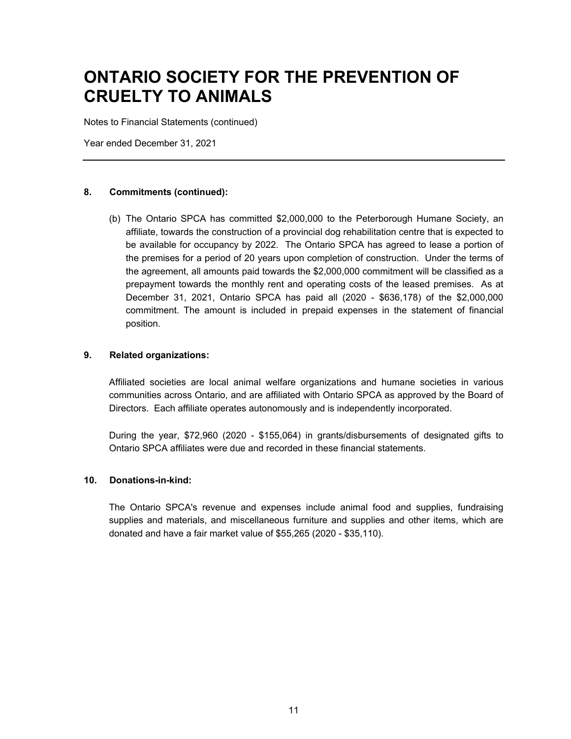Notes to Financial Statements (continued)

Year ended December 31, 2021

### **8. Commitments (continued):**

(b) The Ontario SPCA has committed \$2,000,000 to the Peterborough Humane Society, an affiliate, towards the construction of a provincial dog rehabilitation centre that is expected to be available for occupancy by 2022. The Ontario SPCA has agreed to lease a portion of the premises for a period of 20 years upon completion of construction. Under the terms of the agreement, all amounts paid towards the \$2,000,000 commitment will be classified as a prepayment towards the monthly rent and operating costs of the leased premises. As at December 31, 2021, Ontario SPCA has paid all (2020 - \$636,178) of the \$2,000,000 commitment. The amount is included in prepaid expenses in the statement of financial position.

#### **9. Related organizations:**

Affiliated societies are local animal welfare organizations and humane societies in various communities across Ontario, and are affiliated with Ontario SPCA as approved by the Board of Directors. Each affiliate operates autonomously and is independently incorporated.

During the year, \$72,960 (2020 - \$155,064) in grants/disbursements of designated gifts to Ontario SPCA affiliates were due and recorded in these financial statements.

### **10. Donations-in-kind:**

The Ontario SPCA's revenue and expenses include animal food and supplies, fundraising supplies and materials, and miscellaneous furniture and supplies and other items, which are donated and have a fair market value of \$55,265 (2020 - \$35,110).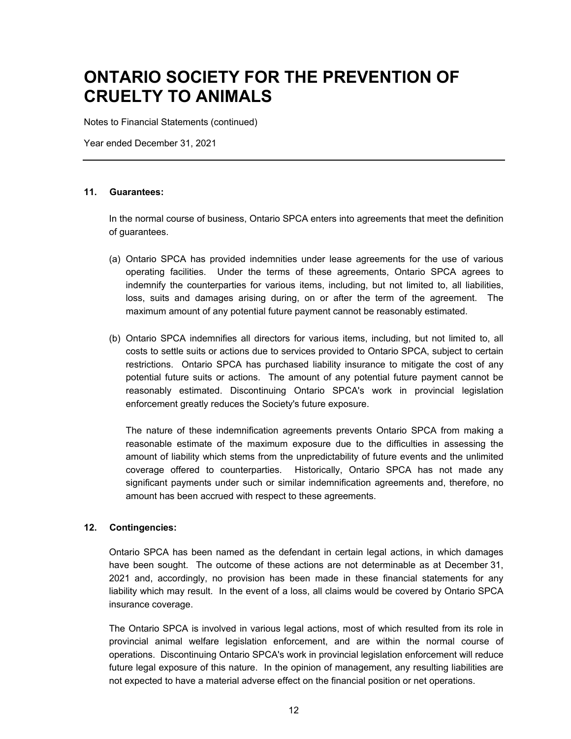Notes to Financial Statements (continued)

Year ended December 31, 2021

#### **11. Guarantees:**

In the normal course of business, Ontario SPCA enters into agreements that meet the definition of guarantees.

- (a) Ontario SPCA has provided indemnities under lease agreements for the use of various operating facilities. Under the terms of these agreements, Ontario SPCA agrees to indemnify the counterparties for various items, including, but not limited to, all liabilities, loss, suits and damages arising during, on or after the term of the agreement. The maximum amount of any potential future payment cannot be reasonably estimated.
- (b) Ontario SPCA indemnifies all directors for various items, including, but not limited to, all costs to settle suits or actions due to services provided to Ontario SPCA, subject to certain restrictions. Ontario SPCA has purchased liability insurance to mitigate the cost of any potential future suits or actions. The amount of any potential future payment cannot be reasonably estimated. Discontinuing Ontario SPCA's work in provincial legislation enforcement greatly reduces the Society's future exposure.

The nature of these indemnification agreements prevents Ontario SPCA from making a reasonable estimate of the maximum exposure due to the difficulties in assessing the amount of liability which stems from the unpredictability of future events and the unlimited coverage offered to counterparties. Historically, Ontario SPCA has not made any significant payments under such or similar indemnification agreements and, therefore, no amount has been accrued with respect to these agreements.

### **12. Contingencies:**

Ontario SPCA has been named as the defendant in certain legal actions, in which damages have been sought. The outcome of these actions are not determinable as at December 31, 2021 and, accordingly, no provision has been made in these financial statements for any liability which may result. In the event of a loss, all claims would be covered by Ontario SPCA insurance coverage.

The Ontario SPCA is involved in various legal actions, most of which resulted from its role in provincial animal welfare legislation enforcement, and are within the normal course of operations. Discontinuing Ontario SPCA's work in provincial legislation enforcement will reduce future legal exposure of this nature. In the opinion of management, any resulting liabilities are not expected to have a material adverse effect on the financial position or net operations.